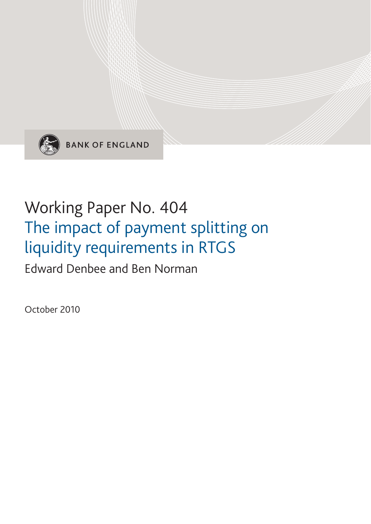

**BANK OF ENGLAND** 

# Working Paper No. 404 The impact of payment splitting on liquidity requirements in RTGS

Edward Denbee and Ben Norman

October 2010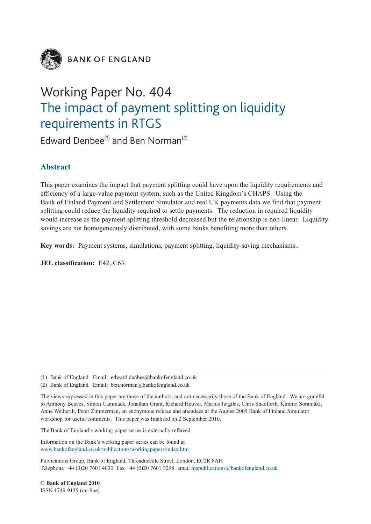

**BANK OF ENGLAND** 

## Working Paper No. 404 The impact of payment splitting on liquidity requirements in RTGS

Edward Denbee<sup>(1)</sup> and Ben Norman<sup>(2)</sup>

## **Abstract**

This paper examines the impact that payment splitting could have upon the liquidity requirements and efficiency of a large-value payment system, such as the United Kingdom's CHAPS. Using the Bank of Finland Payment and Settlement Simulator and real UK payments data we find that payment splitting could reduce the liquidity required to settle payments. The reduction in required liquidity would increase as the payment splitting threshold decreased but the relationship is non-linear. Liquidity savings are not homogeneously distributed, with some banks benefiting more than others.

**Key words:** Payment systems, simulations, payment splitting, liquidity-saving mechanisms..

**JEL classification:** E42, C63.

The Bank of England's working paper series is externally refereed.

Information on the Bank's working paper series can be found at www.bankofengland.co.uk/publications/workingpapers/index.htm

<sup>(1)</sup> Bank of England. Email: edward.denbee@bankofengland.co.uk

<sup>(2)</sup> Bank of England. Email: ben.norman@bankofengland.co.uk

The views expressed in this paper are those of the authors, and not necessarily those of the Bank of England. We are grateful to Anthony Beaves, Simon Cammack, Jonathan Grant, Richard Heuver, Marius Jurgilas, Chris Shadforth, Kimmo Soramäki, Anne Wetherilt, Peter Zimmerman, an anonymous referee and attendees at the August 2009 Bank of Finland Simulator workshop for useful comments. This paper was finalised on 2 September 2010.

Publications Group, Bank of England, Threadneedle Street, London, EC2R 8AH Telephone +44 (0)20 7601 4030 Fax +44 (0)20 7601 3298 email mapublications@bankofengland.co.uk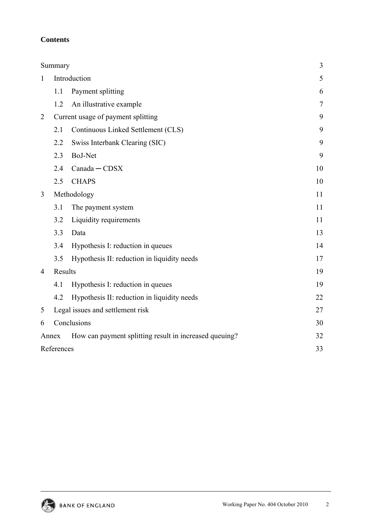## **Contents**

|              | Summary                                                         |                                             | $\overline{3}$ |  |
|--------------|-----------------------------------------------------------------|---------------------------------------------|----------------|--|
| $\mathbf{1}$ |                                                                 | Introduction                                | 5              |  |
|              | 1.1                                                             | Payment splitting                           | 6              |  |
|              | 1.2                                                             | An illustrative example                     | $\tau$         |  |
| 2            |                                                                 | Current usage of payment splitting          | 9              |  |
|              | 2.1                                                             | Continuous Linked Settlement (CLS)          | 9              |  |
|              | 2.2                                                             | Swiss Interbank Clearing (SIC)              | 9              |  |
|              | 2.3                                                             | <b>BoJ-Net</b>                              | 9              |  |
|              | 2.4                                                             | $Canada - CDSX$                             | 10             |  |
|              | 2.5                                                             | <b>CHAPS</b>                                | 10             |  |
| 3            |                                                                 | Methodology                                 | 11             |  |
|              | 3.1                                                             | The payment system                          | 11             |  |
|              | 3.2                                                             | Liquidity requirements                      | 11             |  |
|              | 3.3                                                             | Data                                        | 13             |  |
|              | 3.4                                                             | Hypothesis I: reduction in queues           | 14             |  |
|              | 3.5                                                             | Hypothesis II: reduction in liquidity needs | 17             |  |
| 4            | Results                                                         |                                             | 19             |  |
|              | 4.1                                                             | Hypothesis I: reduction in queues           | 19             |  |
|              | 4.2                                                             | Hypothesis II: reduction in liquidity needs | 22             |  |
| 5            |                                                                 | Legal issues and settlement risk            | 27             |  |
| 6            | Conclusions                                                     |                                             |                |  |
|              | How can payment splitting result in increased queuing?<br>Annex |                                             |                |  |
|              | References                                                      |                                             | 33             |  |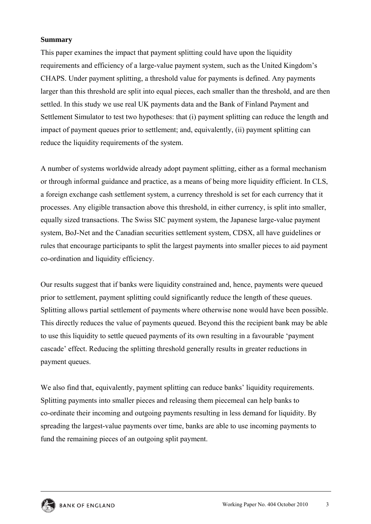#### **Summary**

This paper examines the impact that payment splitting could have upon the liquidity requirements and efficiency of a large-value payment system, such as the United Kingdom's CHAPS. Under payment splitting, a threshold value for payments is defined. Any payments larger than this threshold are split into equal pieces, each smaller than the threshold, and are then settled. In this study we use real UK payments data and the Bank of Finland Payment and Settlement Simulator to test two hypotheses: that (i) payment splitting can reduce the length and impact of payment queues prior to settlement; and, equivalently, (ii) payment splitting can reduce the liquidity requirements of the system.

A number of systems worldwide already adopt payment splitting, either as a formal mechanism or through informal guidance and practice, as a means of being more liquidity efficient. In CLS, a foreign exchange cash settlement system, a currency threshold is set for each currency that it processes. Any eligible transaction above this threshold, in either currency, is split into smaller, equally sized transactions. The Swiss SIC payment system, the Japanese large-value payment system, BoJ-Net and the Canadian securities settlement system, CDSX, all have guidelines or rules that encourage participants to split the largest payments into smaller pieces to aid payment co-ordination and liquidity efficiency.

Our results suggest that if banks were liquidity constrained and, hence, payments were queued prior to settlement, payment splitting could significantly reduce the length of these queues. Splitting allows partial settlement of payments where otherwise none would have been possible. This directly reduces the value of payments queued. Beyond this the recipient bank may be able to use this liquidity to settle queued payments of its own resulting in a favourable 'payment cascade' effect. Reducing the splitting threshold generally results in greater reductions in payment queues.

We also find that, equivalently, payment splitting can reduce banks' liquidity requirements. Splitting payments into smaller pieces and releasing them piecemeal can help banks to co-ordinate their incoming and outgoing payments resulting in less demand for liquidity. By spreading the largest-value payments over time, banks are able to use incoming payments to fund the remaining pieces of an outgoing split payment.

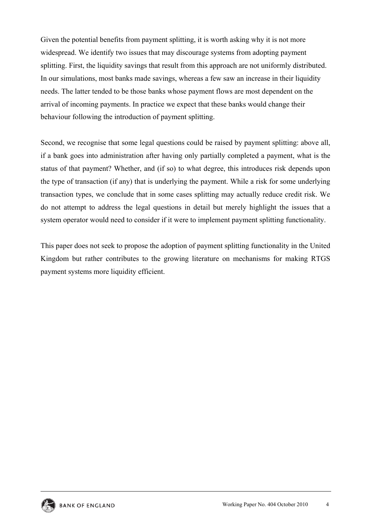Given the potential benefits from payment splitting, it is worth asking why it is not more widespread. We identify two issues that may discourage systems from adopting payment splitting. First, the liquidity savings that result from this approach are not uniformly distributed. In our simulations, most banks made savings, whereas a few saw an increase in their liquidity needs. The latter tended to be those banks whose payment flows are most dependent on the arrival of incoming payments. In practice we expect that these banks would change their behaviour following the introduction of payment splitting.

Second, we recognise that some legal questions could be raised by payment splitting: above all, if a bank goes into administration after having only partially completed a payment, what is the status of that payment? Whether, and (if so) to what degree, this introduces risk depends upon the type of transaction (if any) that is underlying the payment. While a risk for some underlying transaction types, we conclude that in some cases splitting may actually reduce credit risk. We do not attempt to address the legal questions in detail but merely highlight the issues that a system operator would need to consider if it were to implement payment splitting functionality.

This paper does not seek to propose the adoption of payment splitting functionality in the United Kingdom but rather contributes to the growing literature on mechanisms for making RTGS payment systems more liquidity efficient.

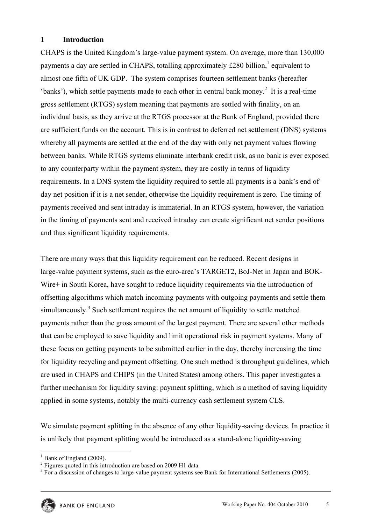## **1 Introduction**

CHAPS is the United Kingdom's large-value payment system. On average, more than 130,000 payments a day are settled in CHAPS, totalling approximately £280 billion,<sup>1</sup> equivalent to almost one fifth of UK GDP. The system comprises fourteen settlement banks (hereafter 'banks'), which settle payments made to each other in central bank money.<sup>2</sup> It is a real-time gross settlement (RTGS) system meaning that payments are settled with finality, on an individual basis, as they arrive at the RTGS processor at the Bank of England, provided there are sufficient funds on the account. This is in contrast to deferred net settlement (DNS) systems whereby all payments are settled at the end of the day with only net payment values flowing between banks. While RTGS systems eliminate interbank credit risk, as no bank is ever exposed to any counterparty within the payment system, they are costly in terms of liquidity requirements. In a DNS system the liquidity required to settle all payments is a bank's end of day net position if it is a net sender, otherwise the liquidity requirement is zero. The timing of payments received and sent intraday is immaterial. In an RTGS system, however, the variation in the timing of payments sent and received intraday can create significant net sender positions and thus significant liquidity requirements.

There are many ways that this liquidity requirement can be reduced. Recent designs in large-value payment systems, such as the euro-area's TARGET2, BoJ-Net in Japan and BOK-Wire+ in South Korea, have sought to reduce liquidity requirements via the introduction of offsetting algorithms which match incoming payments with outgoing payments and settle them simultaneously.<sup>3</sup> Such settlement requires the net amount of liquidity to settle matched payments rather than the gross amount of the largest payment. There are several other methods that can be employed to save liquidity and limit operational risk in payment systems. Many of these focus on getting payments to be submitted earlier in the day, thereby increasing the time for liquidity recycling and payment offsetting. One such method is throughput guidelines, which are used in CHAPS and CHIPS (in the United States) among others. This paper investigates a further mechanism for liquidity saving: payment splitting, which is a method of saving liquidity applied in some systems, notably the multi-currency cash settlement system CLS.

We simulate payment splitting in the absence of any other liquidity-saving devices. In practice it is unlikely that payment splitting would be introduced as a stand-alone liquidity-saving

<sup>&</sup>lt;sup>1</sup> Bank of England (2009).

<sup>&</sup>lt;sup>2</sup> Figures quoted in this introduction are based on 2009 H1 data.

<sup>&</sup>lt;sup>3</sup> For a discussion of changes to large-value payment systems see Bank for International Settlements (2005).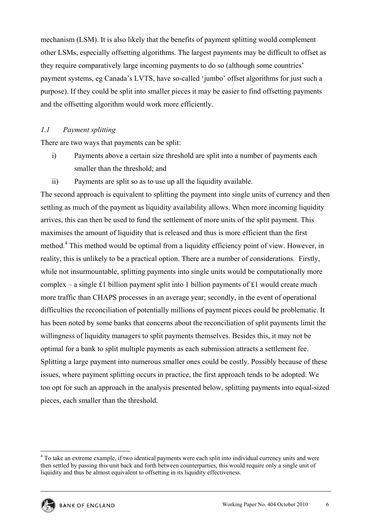mechanism (LSM). It is also likely that the benefits of payment splitting would complement other LSMs, especially offsetting algorithms. The largest payments may be difficult to offset as they require comparatively large incoming payments to do so (although some countries' payment systems, eg Canada's LVTS, have so-called 'jumbo' offset algorithms for just such a purpose). If they could be split into smaller pieces it may be easier to find offsetting payments and the offsetting algorithm would work more efficiently.

## *1.1 Payment splitting*

There are two ways that payments can be split:

- i) Payments above a certain size threshold are split into a number of payments each smaller than the threshold; and
- ii) Payments are split so as to use up all the liquidity available.

The second approach is equivalent to splitting the payment into single units of currency and then settling as much of the payment as liquidity availability allows. When more incoming liquidity arrives, this can then be used to fund the settlement of more units of the split payment. This maximises the amount of liquidity that is released and thus is more efficient than the first method.<sup>4</sup> This method would be optimal from a liquidity efficiency point of view. However, in reality, this is unlikely to be a practical option. There are a number of considerations. Firstly, while not insurmountable, splitting payments into single units would be computationally more complex – a single £1 billion payment split into 1 billion payments of £1 would create much more traffic than CHAPS processes in an average year; secondly, in the event of operational difficulties the reconciliation of potentially millions of payment pieces could be problematic. It has been noted by some banks that concerns about the reconciliation of split payments limit the willingness of liquidity managers to split payments themselves. Besides this, it may not be optimal for a bank to split multiple payments as each submission attracts a settlement fee. Splitting a large payment into numerous smaller ones could be costly. Possibly because of these issues, where payment splitting occurs in practice, the first approach tends to be adopted. We too opt for such an approach in the analysis presented below, splitting payments into equal-sized pieces, each smaller than the threshold.

<sup>&</sup>lt;sup>4</sup> To take an extreme example, if two identical payments were each split into individual currency units and were then settled by passing this unit back and forth between counterparties, this would require only a single unit of liquidity and thus be almost equivalent to offsetting in its liquidity effectiveness.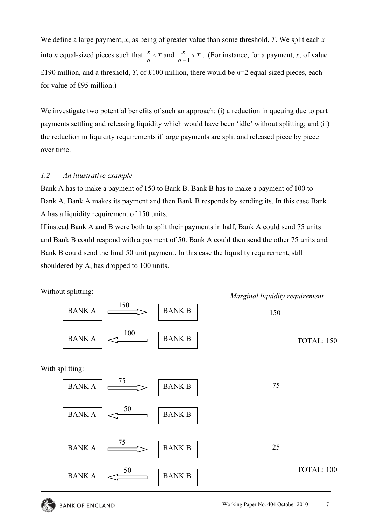We define a large payment, *x*, as being of greater value than some threshold, *T*. We split each *x* into *n* equal-sized pieces such that  $\frac{x}{n} \leq \tau$  $\frac{x}{n} \leq T$  and  $\frac{x}{n-1} > T$  $\frac{x}{x-1}$  >  $\tau$ . (For instance, for a payment, *x*, of value £190 million, and a threshold, *T*, of £100 million, there would be *n*=2 equal-sized pieces, each for value of £95 million.)

We investigate two potential benefits of such an approach: (i) a reduction in queuing due to part payments settling and releasing liquidity which would have been 'idle' without splitting; and (ii) the reduction in liquidity requirements if large payments are split and released piece by piece over time.

## *1.2 An illustrative example*

Bank A has to make a payment of 150 to Bank B. Bank B has to make a payment of 100 to Bank A. Bank A makes its payment and then Bank B responds by sending its. In this case Bank A has a liquidity requirement of 150 units.

If instead Bank A and B were both to split their payments in half, Bank A could send 75 units and Bank B could respond with a payment of 50. Bank A could then send the other 75 units and Bank B could send the final 50 unit payment. In this case the liquidity requirement, still shouldered by A, has dropped to 100 units.

Without splitting:



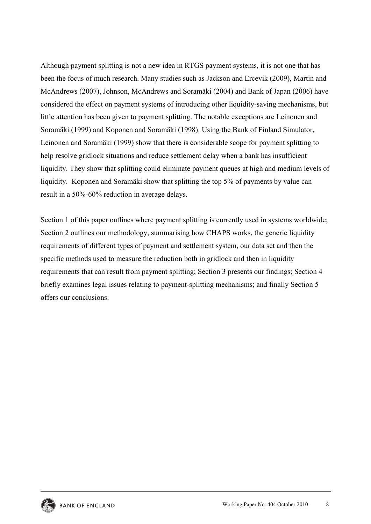Although payment splitting is not a new idea in RTGS payment systems, it is not one that has been the focus of much research. Many studies such as Jackson and Ercevik (2009), Martin and McAndrews (2007), Johnson, McAndrews and Soramäki (2004) and Bank of Japan (2006) have considered the effect on payment systems of introducing other liquidity-saving mechanisms, but little attention has been given to payment splitting. The notable exceptions are Leinonen and Soramäki (1999) and Koponen and Soramäki (1998). Using the Bank of Finland Simulator, Leinonen and Soramäki (1999) show that there is considerable scope for payment splitting to help resolve gridlock situations and reduce settlement delay when a bank has insufficient liquidity. They show that splitting could eliminate payment queues at high and medium levels of liquidity. Koponen and Soramäki show that splitting the top 5% of payments by value can result in a 50%-60% reduction in average delays.

Section 1 of this paper outlines where payment splitting is currently used in systems worldwide; Section 2 outlines our methodology, summarising how CHAPS works, the generic liquidity requirements of different types of payment and settlement system, our data set and then the specific methods used to measure the reduction both in gridlock and then in liquidity requirements that can result from payment splitting; Section 3 presents our findings; Section 4 briefly examines legal issues relating to payment-splitting mechanisms; and finally Section 5 offers our conclusions.

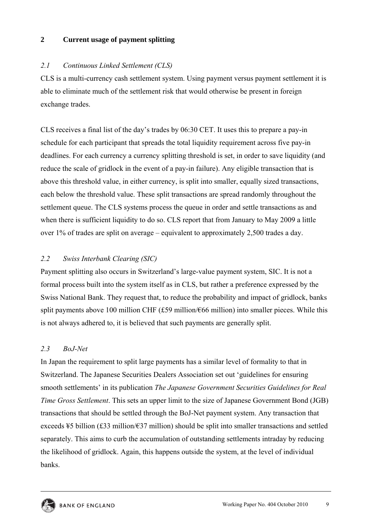## **2 Current usage of payment splitting**

## *2.1 Continuous Linked Settlement (CLS)*

CLS is a multi-currency cash settlement system. Using payment versus payment settlement it is able to eliminate much of the settlement risk that would otherwise be present in foreign exchange trades.

CLS receives a final list of the day's trades by 06:30 CET. It uses this to prepare a pay-in schedule for each participant that spreads the total liquidity requirement across five pay-in deadlines. For each currency a currency splitting threshold is set, in order to save liquidity (and reduce the scale of gridlock in the event of a pay-in failure). Any eligible transaction that is above this threshold value, in either currency, is split into smaller, equally sized transactions, each below the threshold value. These split transactions are spread randomly throughout the settlement queue. The CLS systems process the queue in order and settle transactions as and when there is sufficient liquidity to do so. CLS report that from January to May 2009 a little over 1% of trades are split on average – equivalent to approximately 2,500 trades a day.

## *2.2 Swiss Interbank Clearing (SIC)*

Payment splitting also occurs in Switzerland's large-value payment system, SIC. It is not a formal process built into the system itself as in CLS, but rather a preference expressed by the Swiss National Bank. They request that, to reduce the probability and impact of gridlock, banks split payments above 100 million CHF (£59 million/€66 million) into smaller pieces. While this is not always adhered to, it is believed that such payments are generally split.

## *2.3 BoJ-Net*

In Japan the requirement to split large payments has a similar level of formality to that in Switzerland. The Japanese Securities Dealers Association set out 'guidelines for ensuring smooth settlements' in its publication *The Japanese Government Securities Guidelines for Real Time Gross Settlement*. This sets an upper limit to the size of Japanese Government Bond (JGB) transactions that should be settled through the BoJ-Net payment system. Any transaction that exceeds ¥5 billion (£33 million/€37 million) should be split into smaller transactions and settled separately. This aims to curb the accumulation of outstanding settlements intraday by reducing the likelihood of gridlock. Again, this happens outside the system, at the level of individual banks.

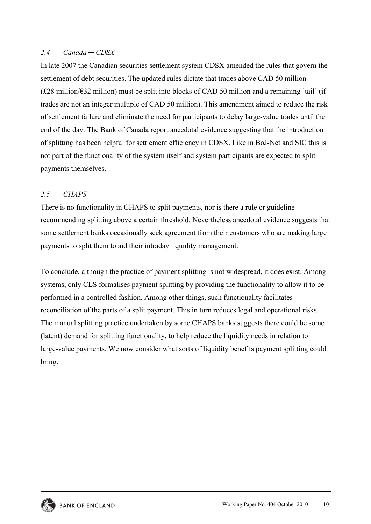## $2.4$  *Canada* — *CDSX*

In late 2007 the Canadian securities settlement system CDSX amended the rules that govern the settlement of debt securities. The updated rules dictate that trades above CAD 50 million (£28 million/€32 million) must be split into blocks of CAD 50 million and a remaining 'tail' (if trades are not an integer multiple of CAD 50 million). This amendment aimed to reduce the risk of settlement failure and eliminate the need for participants to delay large-value trades until the end of the day. The Bank of Canada report anecdotal evidence suggesting that the introduction of splitting has been helpful for settlement efficiency in CDSX. Like in BoJ-Net and SIC this is not part of the functionality of the system itself and system participants are expected to split payments themselves.

## *2.5 CHAPS*

There is no functionality in CHAPS to split payments, nor is there a rule or guideline recommending splitting above a certain threshold. Nevertheless anecdotal evidence suggests that some settlement banks occasionally seek agreement from their customers who are making large payments to split them to aid their intraday liquidity management.

To conclude, although the practice of payment splitting is not widespread, it does exist. Among systems, only CLS formalises payment splitting by providing the functionality to allow it to be performed in a controlled fashion. Among other things, such functionality facilitates reconciliation of the parts of a split payment. This in turn reduces legal and operational risks. The manual splitting practice undertaken by some CHAPS banks suggests there could be some (latent) demand for splitting functionality, to help reduce the liquidity needs in relation to large-value payments. We now consider what sorts of liquidity benefits payment splitting could bring.

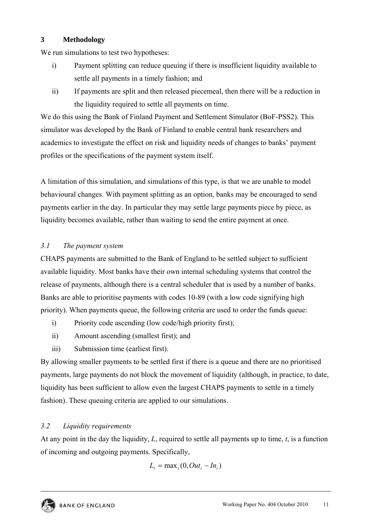## **3 Methodology**

We run simulations to test two hypotheses:

- i) Payment splitting can reduce queuing if there is insufficient liquidity available to settle all payments in a timely fashion; and
- ii) If payments are split and then released piecemeal, then there will be a reduction in the liquidity required to settle all payments on time.

We do this using the Bank of Finland Payment and Settlement Simulator (BoF-PSS2). This simulator was developed by the Bank of Finland to enable central bank researchers and academics to investigate the effect on risk and liquidity needs of changes to banks' payment profiles or the specifications of the payment system itself.

A limitation of this simulation, and simulations of this type, is that we are unable to model behavioural changes. With payment splitting as an option, banks may be encouraged to send payments earlier in the day. In particular they may settle large payments piece by piece, as liquidity becomes available, rather than waiting to send the entire payment at once.

## *3.1 The payment system*

CHAPS payments are submitted to the Bank of England to be settled subject to sufficient available liquidity. Most banks have their own internal scheduling systems that control the release of payments, although there is a central scheduler that is used by a number of banks. Banks are able to prioritise payments with codes 10-89 (with a low code signifying high priority). When payments queue, the following criteria are used to order the funds queue:

- i) Priority code ascending (low code/high priority first);
- ii) Amount ascending (smallest first); and
- iii) Submission time (earliest first).

By allowing smaller payments to be settled first if there is a queue and there are no prioritised payments, large payments do not block the movement of liquidity (although, in practice, to date, liquidity has been sufficient to allow even the largest CHAPS payments to settle in a timely fashion). These queuing criteria are applied to our simulations.

## *3.2 Liquidity requirements*

At any point in the day the liquidity, *L*, required to settle all payments up to time, *t*, is a function of incoming and outgoing payments. Specifically,

$$
L_t = \max_t (0, Out_i - In_i)
$$

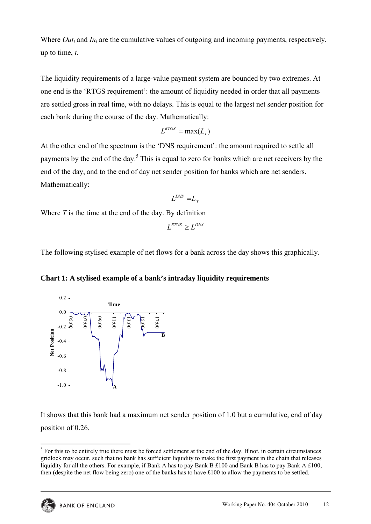Where  $Out_t$  and  $In_t$  are the cumulative values of outgoing and incoming payments, respectively, up to time, *t*.

The liquidity requirements of a large-value payment system are bounded by two extremes. At one end is the 'RTGS requirement': the amount of liquidity needed in order that all payments are settled gross in real time, with no delays. This is equal to the largest net sender position for each bank during the course of the day. Mathematically:

$$
L^{RTGS} = \max(L_t)
$$

At the other end of the spectrum is the 'DNS requirement': the amount required to settle all payments by the end of the day.<sup>5</sup> This is equal to zero for banks which are net receivers by the end of the day, and to the end of day net sender position for banks which are net senders. Mathematically:

$$
L^{DNS} = L_T
$$

Where *T* is the time at the end of the day. By definition

$$
L^{RTGS} \ge L^{DNS}
$$

The following stylised example of net flows for a bank across the day shows this graphically.

**Chart 1: A stylised example of a bank's intraday liquidity requirements** 



It shows that this bank had a maximum net sender position of 1.0 but a cumulative, end of day position of 0.26.

 $<sup>5</sup>$  For this to be entirely true there must be forced settlement at the end of the day. If not, in certain circumstances</sup> gridlock may occur, such that no bank has sufficient liquidity to make the first payment in the chain that releases liquidity for all the others. For example, if Bank A has to pay Bank B £100 and Bank B has to pay Bank A £100, then (despite the net flow being zero) one of the banks has to have £100 to allow the payments to be settled.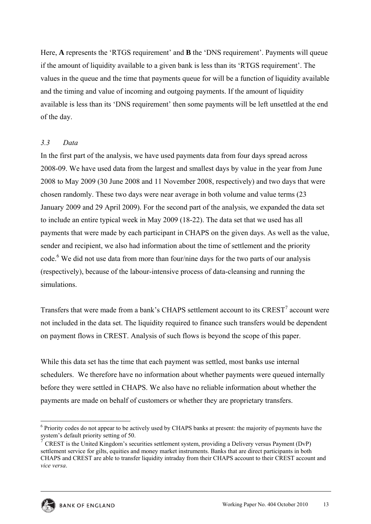Here, **A** represents the 'RTGS requirement' and **B** the 'DNS requirement'. Payments will queue if the amount of liquidity available to a given bank is less than its 'RTGS requirement'. The values in the queue and the time that payments queue for will be a function of liquidity available and the timing and value of incoming and outgoing payments. If the amount of liquidity available is less than its 'DNS requirement' then some payments will be left unsettled at the end of the day.

## *3.3 Data*

In the first part of the analysis, we have used payments data from four days spread across 2008-09. We have used data from the largest and smallest days by value in the year from June 2008 to May 2009 (30 June 2008 and 11 November 2008, respectively) and two days that were chosen randomly. These two days were near average in both volume and value terms (23 January 2009 and 29 April 2009). For the second part of the analysis, we expanded the data set to include an entire typical week in May 2009 (18-22). The data set that we used has all payments that were made by each participant in CHAPS on the given days. As well as the value, sender and recipient, we also had information about the time of settlement and the priority code.<sup>6</sup> We did not use data from more than four/nine days for the two parts of our analysis (respectively), because of the labour-intensive process of data-cleansing and running the simulations.

Transfers that were made from a bank's CHAPS settlement account to its  $\text{CREST}^7$  account were not included in the data set. The liquidity required to finance such transfers would be dependent on payment flows in CREST. Analysis of such flows is beyond the scope of this paper.

While this data set has the time that each payment was settled, most banks use internal schedulers. We therefore have no information about whether payments were queued internally before they were settled in CHAPS. We also have no reliable information about whether the payments are made on behalf of customers or whether they are proprietary transfers.



<sup>&</sup>lt;sup>6</sup> Priority codes do not appear to be actively used by CHAPS banks at present: the majority of payments have the system's default priority setting of 50.

<sup>7</sup> CREST is the United Kingdom's securities settlement system, providing a Delivery versus Payment (DvP) settlement service for gilts, equities and money market instruments. Banks that are direct participants in both CHAPS and CREST are able to transfer liquidity intraday from their CHAPS account to their CREST account and *vice versa*.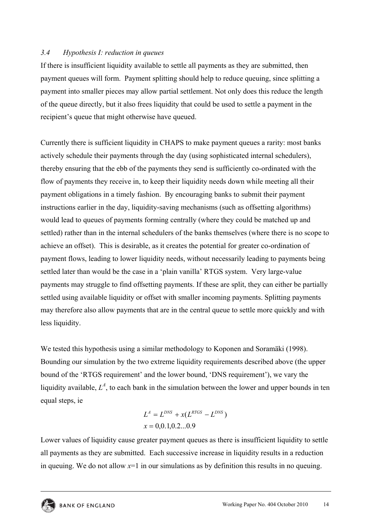## *3.4 Hypothesis I: reduction in queues*

If there is insufficient liquidity available to settle all payments as they are submitted, then payment queues will form. Payment splitting should help to reduce queuing, since splitting a payment into smaller pieces may allow partial settlement. Not only does this reduce the length of the queue directly, but it also frees liquidity that could be used to settle a payment in the recipient's queue that might otherwise have queued.

Currently there is sufficient liquidity in CHAPS to make payment queues a rarity: most banks actively schedule their payments through the day (using sophisticated internal schedulers), thereby ensuring that the ebb of the payments they send is sufficiently co-ordinated with the flow of payments they receive in, to keep their liquidity needs down while meeting all their payment obligations in a timely fashion. By encouraging banks to submit their payment instructions earlier in the day, liquidity-saving mechanisms (such as offsetting algorithms) would lead to queues of payments forming centrally (where they could be matched up and settled) rather than in the internal schedulers of the banks themselves (where there is no scope to achieve an offset). This is desirable, as it creates the potential for greater co-ordination of payment flows, leading to lower liquidity needs, without necessarily leading to payments being settled later than would be the case in a 'plain vanilla' RTGS system. Very large-value payments may struggle to find offsetting payments. If these are split, they can either be partially settled using available liquidity or offset with smaller incoming payments. Splitting payments may therefore also allow payments that are in the central queue to settle more quickly and with less liquidity.

We tested this hypothesis using a similar methodology to Koponen and Soramäki (1998). Bounding our simulation by the two extreme liquidity requirements described above (the upper bound of the 'RTGS requirement' and the lower bound, 'DNS requirement'), we vary the liquidity available,  $L<sup>A</sup>$ , to each bank in the simulation between the lower and upper bounds in ten equal steps, ie

$$
L^A = L^{DNS} + x(L^{RTGS} - L^{DNS})
$$
  

$$
x = 0, 0.1, 0.2...0.9
$$

Lower values of liquidity cause greater payment queues as there is insufficient liquidity to settle all payments as they are submitted. Each successive increase in liquidity results in a reduction in queuing. We do not allow  $x=1$  in our simulations as by definition this results in no queuing.

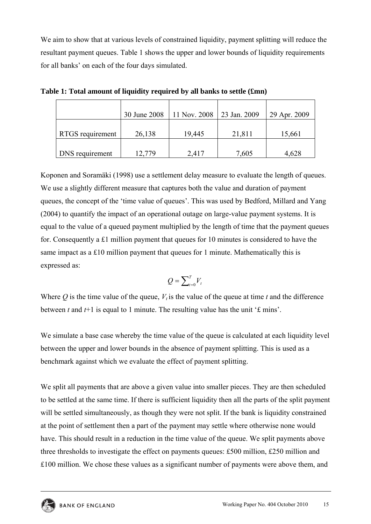We aim to show that at various levels of constrained liquidity, payment splitting will reduce the resultant payment queues. Table 1 shows the upper and lower bounds of liquidity requirements for all banks' on each of the four days simulated.

|                  |        | 30 June 2008   11 Nov. 2008 | 23 Jan. 2009 | 29 Apr. 2009 |
|------------------|--------|-----------------------------|--------------|--------------|
|                  |        |                             |              |              |
| RTGS requirement | 26,138 | 19,445                      | 21,811       | 15,661       |
|                  |        |                             |              |              |
| DNS requirement  | 12,779 | 2,417                       | 7,605        | 4,628        |

**Table 1: Total amount of liquidity required by all banks to settle (£mn)** 

Koponen and Soramäki (1998) use a settlement delay measure to evaluate the length of queues. We use a slightly different measure that captures both the value and duration of payment queues, the concept of the 'time value of queues'. This was used by Bedford, Millard and Yang (2004) to quantify the impact of an operational outage on large-value payment systems. It is equal to the value of a queued payment multiplied by the length of time that the payment queues for. Consequently a £1 million payment that queues for 10 minutes is considered to have the same impact as a £10 million payment that queues for 1 minute. Mathematically this is expressed as:

$$
Q = \sum_{t=0}^{T} V_t
$$

Where *Q* is the time value of the queue,  $V_t$  is the value of the queue at time *t* and the difference between *t* and  $t+1$  is equal to 1 minute. The resulting value has the unit '£ mins'.

We simulate a base case whereby the time value of the queue is calculated at each liquidity level between the upper and lower bounds in the absence of payment splitting. This is used as a benchmark against which we evaluate the effect of payment splitting.

We split all payments that are above a given value into smaller pieces. They are then scheduled to be settled at the same time. If there is sufficient liquidity then all the parts of the split payment will be settled simultaneously, as though they were not split. If the bank is liquidity constrained at the point of settlement then a part of the payment may settle where otherwise none would have. This should result in a reduction in the time value of the queue. We split payments above three thresholds to investigate the effect on payments queues: £500 million, £250 million and £100 million. We chose these values as a significant number of payments were above them, and

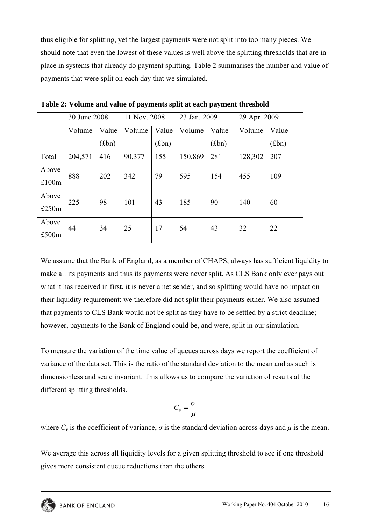thus eligible for splitting, yet the largest payments were not split into too many pieces. We should note that even the lowest of these values is well above the splitting thresholds that are in place in systems that already do payment splitting. Table 2 summarises the number and value of payments that were split on each day that we simulated.

|                | 30 June 2008 |       | 11 Nov. 2008 |       | 23 Jan. 2009 |       | 29 Apr. 2009 |       |
|----------------|--------------|-------|--------------|-------|--------------|-------|--------------|-------|
|                | Volume       | Value | Volume       | Value | Volume       | Value | Volume       | Value |
|                |              | (fbn) |              | (fbn) |              | (fbn) |              | (fbn) |
| Total          | 204,571      | 416   | 90,377       | 155   | 150,869      | 281   | 128,302      | 207   |
| Above<br>£100m | 888          | 202   | 342          | 79    | 595          | 154   | 455          | 109   |
| Above<br>£250m | 225          | 98    | 101          | 43    | 185          | 90    | 140          | 60    |
| Above<br>£500m | 44           | 34    | 25           | 17    | 54           | 43    | 32           | 22    |

**Table 2: Volume and value of payments split at each payment threshold** 

We assume that the Bank of England, as a member of CHAPS, always has sufficient liquidity to make all its payments and thus its payments were never split. As CLS Bank only ever pays out what it has received in first, it is never a net sender, and so splitting would have no impact on their liquidity requirement; we therefore did not split their payments either. We also assumed that payments to CLS Bank would not be split as they have to be settled by a strict deadline; however, payments to the Bank of England could be, and were, split in our simulation.

To measure the variation of the time value of queues across days we report the coefficient of variance of the data set. This is the ratio of the standard deviation to the mean and as such is dimensionless and scale invariant. This allows us to compare the variation of results at the different splitting thresholds.

$$
C_v = \frac{\sigma}{\mu}
$$

where  $C_v$  is the coefficient of variance,  $\sigma$  is the standard deviation across days and  $\mu$  is the mean.

We average this across all liquidity levels for a given splitting threshold to see if one threshold gives more consistent queue reductions than the others.

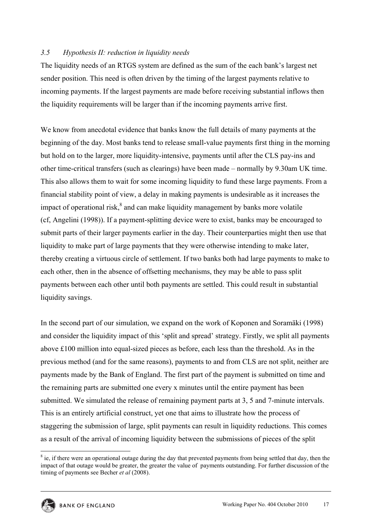## *3.5 Hypothesis II: reduction in liquidity needs*

The liquidity needs of an RTGS system are defined as the sum of the each bank's largest net sender position. This need is often driven by the timing of the largest payments relative to incoming payments. If the largest payments are made before receiving substantial inflows then the liquidity requirements will be larger than if the incoming payments arrive first.

We know from anecdotal evidence that banks know the full details of many payments at the beginning of the day. Most banks tend to release small-value payments first thing in the morning but hold on to the larger, more liquidity-intensive, payments until after the CLS pay-ins and other time-critical transfers (such as clearings) have been made – normally by 9.30am UK time. This also allows them to wait for some incoming liquidity to fund these large payments. From a financial stability point of view, a delay in making payments is undesirable as it increases the impact of operational risk, $<sup>8</sup>$  and can make liquidity management by banks more volatile</sup> (cf, Angelini (1998)). If a payment-splitting device were to exist, banks may be encouraged to submit parts of their larger payments earlier in the day. Their counterparties might then use that liquidity to make part of large payments that they were otherwise intending to make later, thereby creating a virtuous circle of settlement. If two banks both had large payments to make to each other, then in the absence of offsetting mechanisms, they may be able to pass split payments between each other until both payments are settled. This could result in substantial liquidity savings.

In the second part of our simulation, we expand on the work of Koponen and Soramäki (1998) and consider the liquidity impact of this 'split and spread' strategy. Firstly, we split all payments above £100 million into equal-sized pieces as before, each less than the threshold. As in the previous method (and for the same reasons), payments to and from CLS are not split, neither are payments made by the Bank of England. The first part of the payment is submitted on time and the remaining parts are submitted one every x minutes until the entire payment has been submitted. We simulated the release of remaining payment parts at 3, 5 and 7-minute intervals. This is an entirely artificial construct, yet one that aims to illustrate how the process of staggering the submission of large, split payments can result in liquidity reductions. This comes as a result of the arrival of incoming liquidity between the submissions of pieces of the split

 $8$  ie, if there were an operational outage during the day that prevented payments from being settled that day, then the impact of that outage would be greater, the greater the value of payments outstanding. For further discussion of the timing of payments see Becher *et al* (2008).

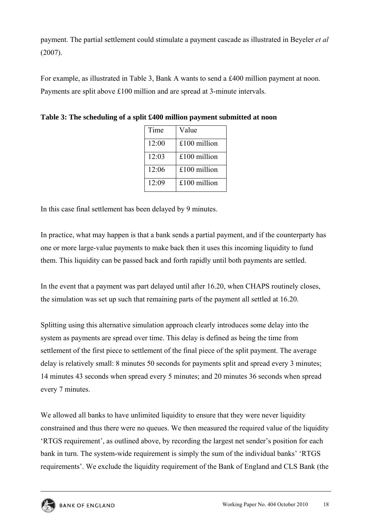payment. The partial settlement could stimulate a payment cascade as illustrated in Beyeler *et al*  $(2007)$ .

For example, as illustrated in Table 3, Bank A wants to send a £400 million payment at noon. Payments are split above £100 million and are spread at 3-minute intervals.

| Time  | Value          |
|-------|----------------|
| 12:00 | £100 million   |
| 12:03 | $£100$ million |
| 12:06 | $£100$ million |
| 12:09 | $£100$ million |

|  |  | Table 3: The scheduling of a split £400 million payment submitted at noon |
|--|--|---------------------------------------------------------------------------|
|--|--|---------------------------------------------------------------------------|

In this case final settlement has been delayed by 9 minutes.

In practice, what may happen is that a bank sends a partial payment, and if the counterparty has one or more large-value payments to make back then it uses this incoming liquidity to fund them. This liquidity can be passed back and forth rapidly until both payments are settled.

In the event that a payment was part delayed until after 16.20, when CHAPS routinely closes, the simulation was set up such that remaining parts of the payment all settled at 16.20.

Splitting using this alternative simulation approach clearly introduces some delay into the system as payments are spread over time. This delay is defined as being the time from settlement of the first piece to settlement of the final piece of the split payment. The average delay is relatively small: 8 minutes 50 seconds for payments split and spread every 3 minutes; 14 minutes 43 seconds when spread every 5 minutes; and 20 minutes 36 seconds when spread every 7 minutes.

We allowed all banks to have unlimited liquidity to ensure that they were never liquidity constrained and thus there were no queues. We then measured the required value of the liquidity 'RTGS requirement', as outlined above, by recording the largest net sender's position for each bank in turn. The system-wide requirement is simply the sum of the individual banks' 'RTGS requirements'. We exclude the liquidity requirement of the Bank of England and CLS Bank (the

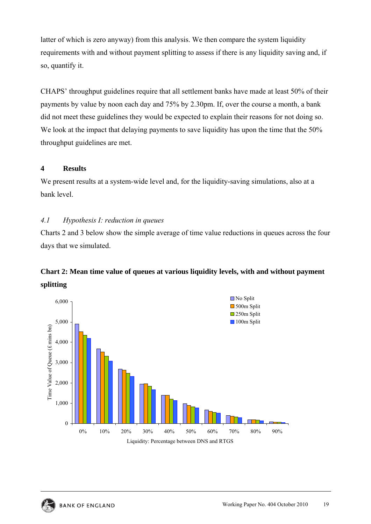latter of which is zero anyway) from this analysis. We then compare the system liquidity requirements with and without payment splitting to assess if there is any liquidity saving and, if so, quantify it.

CHAPS' throughput guidelines require that all settlement banks have made at least 50% of their payments by value by noon each day and 75% by 2.30pm. If, over the course a month, a bank did not meet these guidelines they would be expected to explain their reasons for not doing so. We look at the impact that delaying payments to save liquidity has upon the time that the 50% throughput guidelines are met.

## **4 Results**

We present results at a system-wide level and, for the liquidity-saving simulations, also at a bank level.

## *4.1 Hypothesis I: reduction in queues*

Charts 2 and 3 below show the simple average of time value reductions in queues across the four days that we simulated.

## **Chart 2: Mean time value of queues at various liquidity levels, with and without payment splitting**

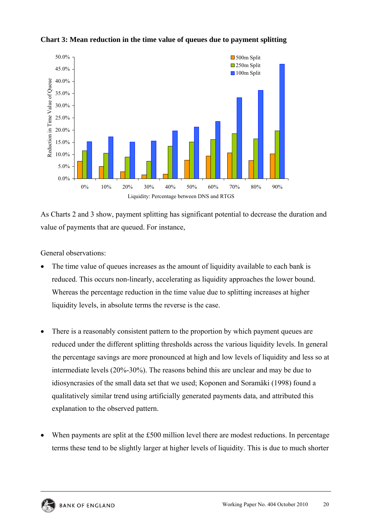

## **Chart 3: Mean reduction in the time value of queues due to payment splitting**

As Charts 2 and 3 show, payment splitting has significant potential to decrease the duration and value of payments that are queued. For instance,

General observations:

- The time value of queues increases as the amount of liquidity available to each bank is reduced. This occurs non-linearly, accelerating as liquidity approaches the lower bound. Whereas the percentage reduction in the time value due to splitting increases at higher liquidity levels, in absolute terms the reverse is the case.
- There is a reasonably consistent pattern to the proportion by which payment queues are reduced under the different splitting thresholds across the various liquidity levels. In general the percentage savings are more pronounced at high and low levels of liquidity and less so at intermediate levels (20%-30%). The reasons behind this are unclear and may be due to idiosyncrasies of the small data set that we used; Koponen and Soramäki (1998) found a qualitatively similar trend using artificially generated payments data, and attributed this explanation to the observed pattern.
- When payments are split at the £500 million level there are modest reductions. In percentage terms these tend to be slightly larger at higher levels of liquidity. This is due to much shorter

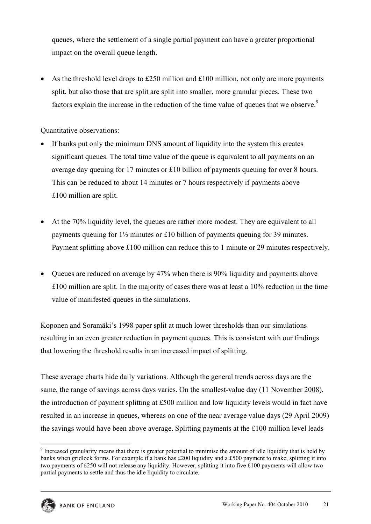queues, where the settlement of a single partial payment can have a greater proportional impact on the overall queue length.

As the threshold level drops to £250 million and £100 million, not only are more payments split, but also those that are split are split into smaller, more granular pieces. These two factors explain the increase in the reduction of the time value of queues that we observe.<sup>9</sup>

Quantitative observations:

- If banks put only the minimum DNS amount of liquidity into the system this creates significant queues. The total time value of the queue is equivalent to all payments on an average day queuing for 17 minutes or £10 billion of payments queuing for over 8 hours. This can be reduced to about 14 minutes or 7 hours respectively if payments above £100 million are split.
- At the 70% liquidity level, the queues are rather more modest. They are equivalent to all payments queuing for 1½ minutes or £10 billion of payments queuing for 39 minutes. Payment splitting above £100 million can reduce this to 1 minute or 29 minutes respectively.
- Queues are reduced on average by 47% when there is 90% liquidity and payments above £100 million are split. In the majority of cases there was at least a 10% reduction in the time value of manifested queues in the simulations.

Koponen and Soramäki's 1998 paper split at much lower thresholds than our simulations resulting in an even greater reduction in payment queues. This is consistent with our findings that lowering the threshold results in an increased impact of splitting.

These average charts hide daily variations. Although the general trends across days are the same, the range of savings across days varies. On the smallest-value day (11 November 2008), the introduction of payment splitting at £500 million and low liquidity levels would in fact have resulted in an increase in queues, whereas on one of the near average value days (29 April 2009) the savings would have been above average. Splitting payments at the £100 million level leads

<sup>&</sup>lt;sup>9</sup> Increased granularity means that there is greater potential to minimise the amount of idle liquidity that is held by banks when gridlock forms. For example if a bank has £200 liquidity and a £500 payment to make, splitting it into two payments of £250 will not release any liquidity. However, splitting it into five £100 payments will allow two partial payments to settle and thus the idle liquidity to circulate.

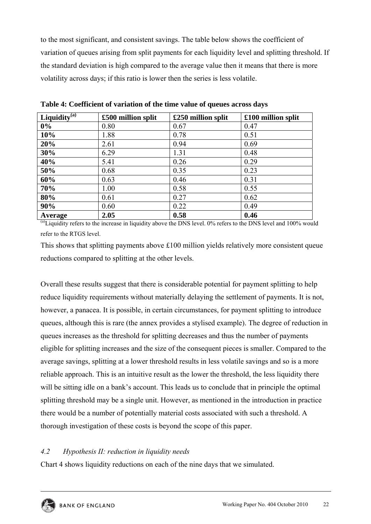to the most significant, and consistent savings. The table below shows the coefficient of variation of queues arising from split payments for each liquidity level and splitting threshold. If the standard deviation is high compared to the average value then it means that there is more volatility across days; if this ratio is lower then the series is less volatile.

| <b>Liquidity</b> <sup>(a)</sup> | £500 million split | £250 million split | £100 million split |
|---------------------------------|--------------------|--------------------|--------------------|
| $0\%$                           | 0.80               | 0.67               | 0.47               |
| 10%                             | 1.88               | 0.78               | 0.51               |
| 20%                             | 2.61               | 0.94               | 0.69               |
| 30%                             | 6.29               | 1.31               | 0.48               |
| 40%                             | 5.41               | 0.26               | 0.29               |
| 50%                             | 0.68               | 0.35               | 0.23               |
| 60%                             | 0.63               | 0.46               | 0.31               |
| 70%                             | 1.00               | 0.58               | 0.55               |
| 80%                             | 0.61               | 0.27               | 0.62               |
| 90%                             | 0.60               | 0.22               | 0.49               |
| Average                         | 2.05               | 0.58               | 0.46               |

**Table 4: Coefficient of variation of the time value of queues across days** 

 $^{(a)}$ Liquidity refers to the increase in liquidity above the DNS level. 0% refers to the DNS level and 100% would refer to the RTGS level.

This shows that splitting payments above £100 million yields relatively more consistent queue reductions compared to splitting at the other levels.

Overall these results suggest that there is considerable potential for payment splitting to help reduce liquidity requirements without materially delaying the settlement of payments. It is not, however, a panacea. It is possible, in certain circumstances, for payment splitting to introduce queues, although this is rare (the annex provides a stylised example). The degree of reduction in queues increases as the threshold for splitting decreases and thus the number of payments eligible for splitting increases and the size of the consequent pieces is smaller. Compared to the average savings, splitting at a lower threshold results in less volatile savings and so is a more reliable approach. This is an intuitive result as the lower the threshold, the less liquidity there will be sitting idle on a bank's account. This leads us to conclude that in principle the optimal splitting threshold may be a single unit. However, as mentioned in the introduction in practice there would be a number of potentially material costs associated with such a threshold. A thorough investigation of these costs is beyond the scope of this paper.

## *4.2 Hypothesis II: reduction in liquidity needs*

Chart 4 shows liquidity reductions on each of the nine days that we simulated.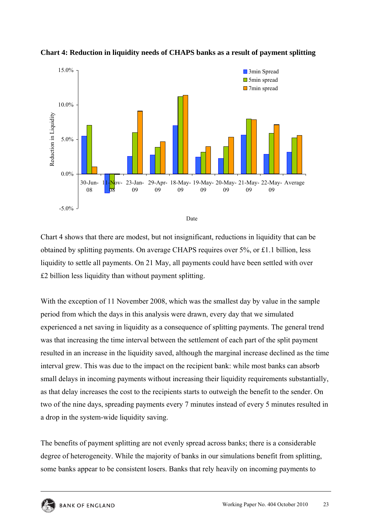

**Chart 4: Reduction in liquidity needs of CHAPS banks as a result of payment splitting** 

Chart 4 shows that there are modest, but not insignificant, reductions in liquidity that can be obtained by splitting payments. On average CHAPS requires over 5%, or £1.1 billion, less liquidity to settle all payments. On 21 May, all payments could have been settled with over £2 billion less liquidity than without payment splitting.

With the exception of 11 November 2008, which was the smallest day by value in the sample period from which the days in this analysis were drawn, every day that we simulated experienced a net saving in liquidity as a consequence of splitting payments. The general trend was that increasing the time interval between the settlement of each part of the split payment resulted in an increase in the liquidity saved, although the marginal increase declined as the time interval grew. This was due to the impact on the recipient bank: while most banks can absorb small delays in incoming payments without increasing their liquidity requirements substantially, as that delay increases the cost to the recipients starts to outweigh the benefit to the sender. On two of the nine days, spreading payments every 7 minutes instead of every 5 minutes resulted in a drop in the system-wide liquidity saving.

The benefits of payment splitting are not evenly spread across banks; there is a considerable degree of heterogeneity. While the majority of banks in our simulations benefit from splitting, some banks appear to be consistent losers. Banks that rely heavily on incoming payments to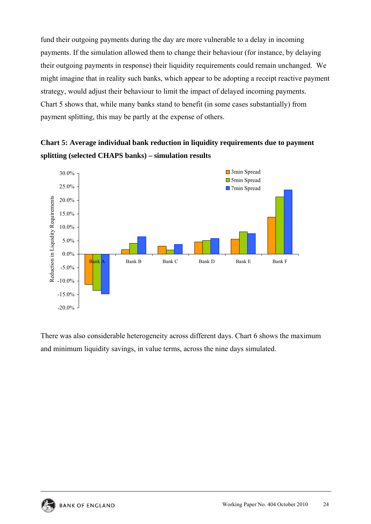fund their outgoing payments during the day are more vulnerable to a delay in incoming payments. If the simulation allowed them to change their behaviour (for instance, by delaying their outgoing payments in response) their liquidity requirements could remain unchanged. We might imagine that in reality such banks, which appear to be adopting a receipt reactive payment strategy, would adjust their behaviour to limit the impact of delayed incoming payments. Chart 5 shows that, while many banks stand to benefit (in some cases substantially) from payment splitting, this may be partly at the expense of others.





There was also considerable heterogeneity across different days. Chart 6 shows the maximum and minimum liquidity savings, in value terms, across the nine days simulated.

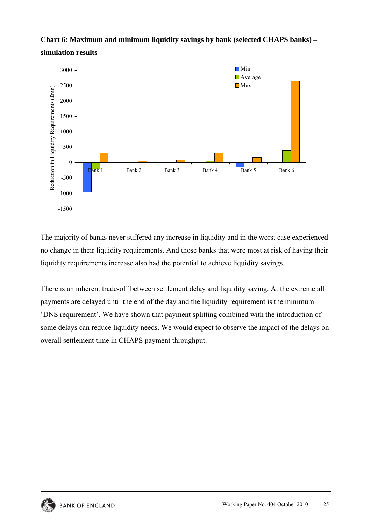



The majority of banks never suffered any increase in liquidity and in the worst case experienced no change in their liquidity requirements. And those banks that were most at risk of having their liquidity requirements increase also had the potential to achieve liquidity savings.

There is an inherent trade-off between settlement delay and liquidity saving. At the extreme all payments are delayed until the end of the day and the liquidity requirement is the minimum 'DNS requirement'. We have shown that payment splitting combined with the introduction of some delays can reduce liquidity needs. We would expect to observe the impact of the delays on overall settlement time in CHAPS payment throughput.

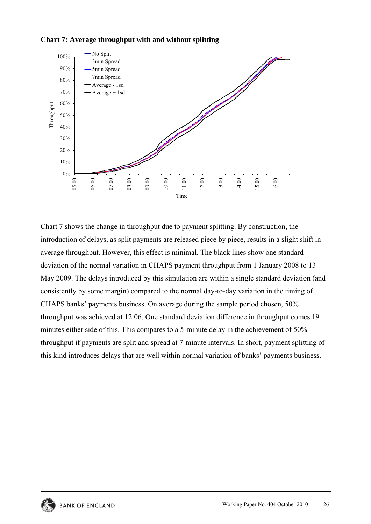

## **Chart 7: Average throughput with and without splitting**

Chart 7 shows the change in throughput due to payment splitting. By construction, the introduction of delays, as split payments are released piece by piece, results in a slight shift in average throughput. However, this effect is minimal. The black lines show one standard deviation of the normal variation in CHAPS payment throughput from 1 January 2008 to 13 May 2009. The delays introduced by this simulation are within a single standard deviation (and consistently by some margin) compared to the normal day-to-day variation in the timing of CHAPS banks' payments business. On average during the sample period chosen, 50% throughput was achieved at 12:06. One standard deviation difference in throughput comes 19 minutes either side of this. This compares to a 5-minute delay in the achievement of 50% throughput if payments are split and spread at 7-minute intervals. In short, payment splitting of this kind introduces delays that are well within normal variation of banks' payments business.

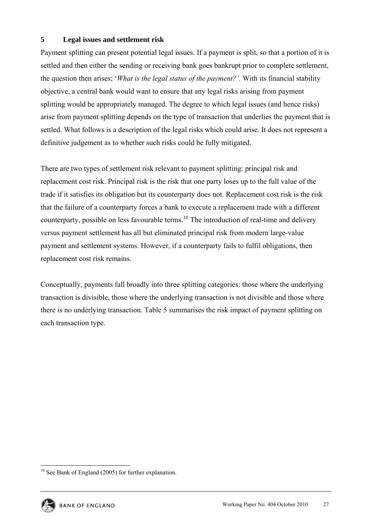## **5 Legal issues and settlement risk**

Payment splitting can present potential legal issues. If a payment is split, so that a portion of it is settled and then either the sending or receiving bank goes bankrupt prior to complete settlement, the question then arises; '*What is the legal status of the payment?'.* With its financial stability objective, a central bank would want to ensure that any legal risks arising from payment splitting would be appropriately managed. The degree to which legal issues (and hence risks) arise from payment splitting depends on the type of transaction that underlies the payment that is settled. What follows is a description of the legal risks which could arise. It does not represent a definitive judgement as to whether such risks could be fully mitigated.

There are two types of settlement risk relevant to payment splitting: principal risk and replacement cost risk. Principal risk is the risk that one party loses up to the full value of the trade if it satisfies its obligation but its counterparty does not. Replacement cost risk is the risk that the failure of a counterparty forces a bank to execute a replacement trade with a different counterparty, possible on less favourable terms.<sup>10</sup> The introduction of real-time and delivery versus payment settlement has all but eliminated principal risk from modern large-value payment and settlement systems. However, if a counterparty fails to fulfil obligations, then replacement cost risk remains.

Conceptually, payments fall broadly into three splitting categories: those where the underlying transaction is divisible, those where the underlying transaction is not divisible and those where there is no underlying transaction. Table 5 summarises the risk impact of payment splitting on each transaction type.

<sup>1</sup> <sup>10</sup> See Bank of England (2005) for further explanation.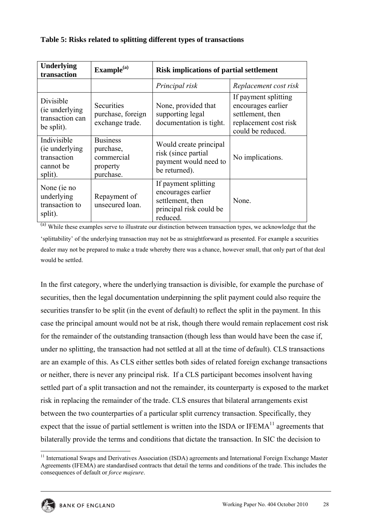| Table 5: Risks related to splitting different types of transactions |  |  |
|---------------------------------------------------------------------|--|--|
|---------------------------------------------------------------------|--|--|

| <b>Underlying</b><br>transaction                                      | Example <sup>(a)</sup>                                              | <b>Risk implications of partial settlement</b>                                                        |                                                                                                              |  |
|-----------------------------------------------------------------------|---------------------------------------------------------------------|-------------------------------------------------------------------------------------------------------|--------------------------------------------------------------------------------------------------------------|--|
|                                                                       |                                                                     | Principal risk                                                                                        | Replacement cost risk                                                                                        |  |
| Divisible<br>(ie underlying)<br>transaction can<br>be split).         | Securities<br>purchase, foreign<br>exchange trade.                  | None, provided that<br>supporting legal<br>documentation is tight.                                    | If payment splitting<br>encourages earlier<br>settlement, then<br>replacement cost risk<br>could be reduced. |  |
| Indivisible<br>(ie underlying)<br>transaction<br>cannot be<br>split). | <b>Business</b><br>purchase,<br>commercial<br>property<br>purchase. | Would create principal<br>risk (since partial)<br>payment would need to<br>be returned).              | No implications.                                                                                             |  |
| None (ie no<br>underlying<br>transaction to<br>split).                | Repayment of<br>unsecured loan.                                     | If payment splitting<br>encourages earlier<br>settlement, then<br>principal risk could be<br>reduced. | None.                                                                                                        |  |

<sup>(a)</sup> While these examples serve to illustrate our distinction between transaction types, we acknowledge that the 'splittability' of the underlying transaction may not be as straightforward as presented. For example a securities dealer may not be prepared to make a trade whereby there was a chance, however small, that only part of that deal would be settled.

In the first category, where the underlying transaction is divisible, for example the purchase of securities, then the legal documentation underpinning the split payment could also require the securities transfer to be split (in the event of default) to reflect the split in the payment. In this case the principal amount would not be at risk, though there would remain replacement cost risk for the remainder of the outstanding transaction (though less than would have been the case if, under no splitting, the transaction had not settled at all at the time of default). CLS transactions are an example of this. As CLS either settles both sides of related foreign exchange transactions or neither, there is never any principal risk. If a CLS participant becomes insolvent having settled part of a split transaction and not the remainder, its counterparty is exposed to the market risk in replacing the remainder of the trade. CLS ensures that bilateral arrangements exist between the two counterparties of a particular split currency transaction. Specifically, they expect that the issue of partial settlement is written into the ISDA or IFEMA $^{11}$  agreements that bilaterally provide the terms and conditions that dictate the transaction. In SIC the decision to

<sup>&</sup>lt;sup>11</sup> International Swaps and Derivatives Association (ISDA) agreements and International Foreign Exchange Master Agreements (IFEMA) are standardised contracts that detail the terms and conditions of the trade. This includes the consequences of default or *force majeure*.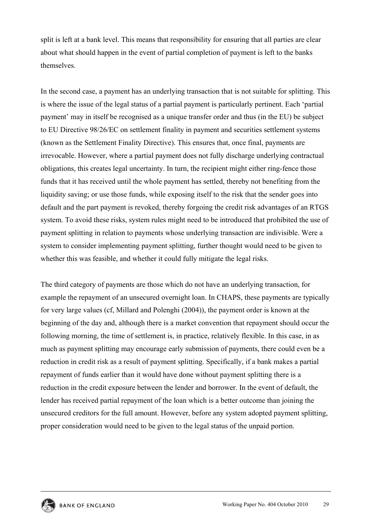split is left at a bank level. This means that responsibility for ensuring that all parties are clear about what should happen in the event of partial completion of payment is left to the banks themselves.

In the second case, a payment has an underlying transaction that is not suitable for splitting. This is where the issue of the legal status of a partial payment is particularly pertinent. Each 'partial payment' may in itself be recognised as a unique transfer order and thus (in the EU) be subject to EU Directive 98/26/EC on settlement finality in payment and securities settlement systems (known as the Settlement Finality Directive). This ensures that, once final, payments are irrevocable. However, where a partial payment does not fully discharge underlying contractual obligations, this creates legal uncertainty. In turn, the recipient might either ring-fence those funds that it has received until the whole payment has settled, thereby not benefiting from the liquidity saving; or use those funds, while exposing itself to the risk that the sender goes into default and the part payment is revoked, thereby forgoing the credit risk advantages of an RTGS system. To avoid these risks, system rules might need to be introduced that prohibited the use of payment splitting in relation to payments whose underlying transaction are indivisible. Were a system to consider implementing payment splitting, further thought would need to be given to whether this was feasible, and whether it could fully mitigate the legal risks.

The third category of payments are those which do not have an underlying transaction, for example the repayment of an unsecured overnight loan. In CHAPS, these payments are typically for very large values (cf, Millard and Polenghi (2004)), the payment order is known at the beginning of the day and, although there is a market convention that repayment should occur the following morning, the time of settlement is, in practice, relatively flexible. In this case, in as much as payment splitting may encourage early submission of payments, there could even be a reduction in credit risk as a result of payment splitting. Specifically, if a bank makes a partial repayment of funds earlier than it would have done without payment splitting there is a reduction in the credit exposure between the lender and borrower. In the event of default, the lender has received partial repayment of the loan which is a better outcome than joining the unsecured creditors for the full amount. However, before any system adopted payment splitting, proper consideration would need to be given to the legal status of the unpaid portion.

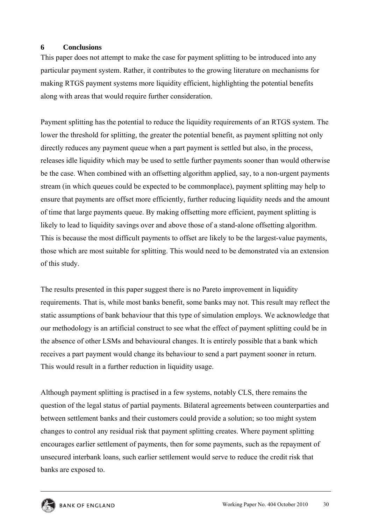## **6 Conclusions**

This paper does not attempt to make the case for payment splitting to be introduced into any particular payment system. Rather, it contributes to the growing literature on mechanisms for making RTGS payment systems more liquidity efficient, highlighting the potential benefits along with areas that would require further consideration.

Payment splitting has the potential to reduce the liquidity requirements of an RTGS system. The lower the threshold for splitting, the greater the potential benefit, as payment splitting not only directly reduces any payment queue when a part payment is settled but also, in the process, releases idle liquidity which may be used to settle further payments sooner than would otherwise be the case. When combined with an offsetting algorithm applied, say, to a non-urgent payments stream (in which queues could be expected to be commonplace), payment splitting may help to ensure that payments are offset more efficiently, further reducing liquidity needs and the amount of time that large payments queue. By making offsetting more efficient, payment splitting is likely to lead to liquidity savings over and above those of a stand-alone offsetting algorithm. This is because the most difficult payments to offset are likely to be the largest-value payments, those which are most suitable for splitting. This would need to be demonstrated via an extension of this study.

The results presented in this paper suggest there is no Pareto improvement in liquidity requirements. That is, while most banks benefit, some banks may not. This result may reflect the static assumptions of bank behaviour that this type of simulation employs. We acknowledge that our methodology is an artificial construct to see what the effect of payment splitting could be in the absence of other LSMs and behavioural changes. It is entirely possible that a bank which receives a part payment would change its behaviour to send a part payment sooner in return. This would result in a further reduction in liquidity usage.

Although payment splitting is practised in a few systems, notably CLS, there remains the question of the legal status of partial payments. Bilateral agreements between counterparties and between settlement banks and their customers could provide a solution; so too might system changes to control any residual risk that payment splitting creates. Where payment splitting encourages earlier settlement of payments, then for some payments, such as the repayment of unsecured interbank loans, such earlier settlement would serve to reduce the credit risk that banks are exposed to.

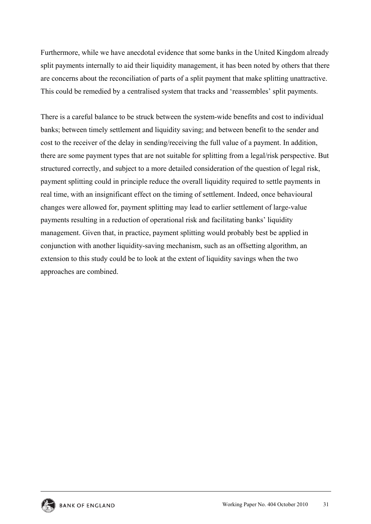Furthermore, while we have anecdotal evidence that some banks in the United Kingdom already split payments internally to aid their liquidity management, it has been noted by others that there are concerns about the reconciliation of parts of a split payment that make splitting unattractive. This could be remedied by a centralised system that tracks and 'reassembles' split payments.

There is a careful balance to be struck between the system-wide benefits and cost to individual banks; between timely settlement and liquidity saving; and between benefit to the sender and cost to the receiver of the delay in sending/receiving the full value of a payment. In addition, there are some payment types that are not suitable for splitting from a legal/risk perspective. But structured correctly, and subject to a more detailed consideration of the question of legal risk, payment splitting could in principle reduce the overall liquidity required to settle payments in real time, with an insignificant effect on the timing of settlement. Indeed, once behavioural changes were allowed for, payment splitting may lead to earlier settlement of large-value payments resulting in a reduction of operational risk and facilitating banks' liquidity management. Given that, in practice, payment splitting would probably best be applied in conjunction with another liquidity-saving mechanism, such as an offsetting algorithm, an extension to this study could be to look at the extent of liquidity savings when the two approaches are combined.

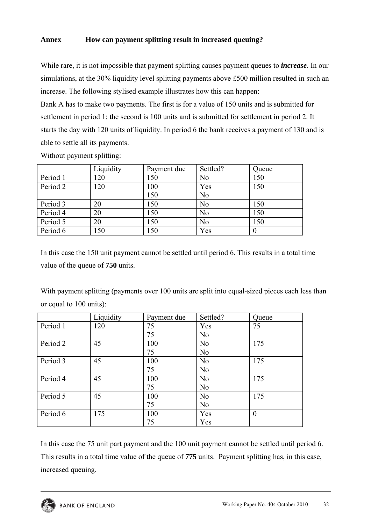#### **Annex How can payment splitting result in increased queuing?**

While rare, it is not impossible that payment splitting causes payment queues to *increase*. In our simulations, at the 30% liquidity level splitting payments above £500 million resulted in such an increase. The following stylised example illustrates how this can happen:

Bank A has to make two payments. The first is for a value of 150 units and is submitted for settlement in period 1; the second is 100 units and is submitted for settlement in period 2. It starts the day with 120 units of liquidity. In period 6 the bank receives a payment of 130 and is able to settle all its payments.

Without payment splitting:

|          | Liquidity | Payment due | Settled?       | Queue    |
|----------|-----------|-------------|----------------|----------|
| Period 1 | 120       | 150         | N <sub>0</sub> | 150      |
| Period 2 | 120       | 100         | Yes            | 150      |
|          |           | 150         | N <sub>0</sub> |          |
| Period 3 | 20        | 150         | N <sub>o</sub> | 150      |
| Period 4 | 20        | 150         | N <sub>0</sub> | 150      |
| Period 5 | 20        | 150         | N <sub>0</sub> | 150      |
| Period 6 | 150       | 150         | Yes            | $\theta$ |

In this case the 150 unit payment cannot be settled until period 6. This results in a total time value of the queue of **750** units.

With payment splitting (payments over 100 units are split into equal-sized pieces each less than or equal to 100 units):

|          | Liquidity | Payment due | Settled?       | Queue          |
|----------|-----------|-------------|----------------|----------------|
| Period 1 | 120       | 75          | Yes            | 75             |
|          |           | 75          | N <sub>o</sub> |                |
| Period 2 | 45        | 100         | N <sub>o</sub> | 175            |
|          |           | 75          | N <sub>o</sub> |                |
| Period 3 | 45        | 100         | N <sub>o</sub> | 175            |
|          |           | 75          | N <sub>o</sub> |                |
| Period 4 | 45        | 100         | N <sub>o</sub> | 175            |
|          |           | 75          | N <sub>o</sub> |                |
| Period 5 | 45        | 100         | N <sub>o</sub> | 175            |
|          |           | 75          | N <sub>o</sub> |                |
| Period 6 | 175       | 100         | Yes            | $\overline{0}$ |
|          |           | 75          | Yes            |                |

In this case the 75 unit part payment and the 100 unit payment cannot be settled until period 6. This results in a total time value of the queue of **775** units. Payment splitting has, in this case, increased queuing.

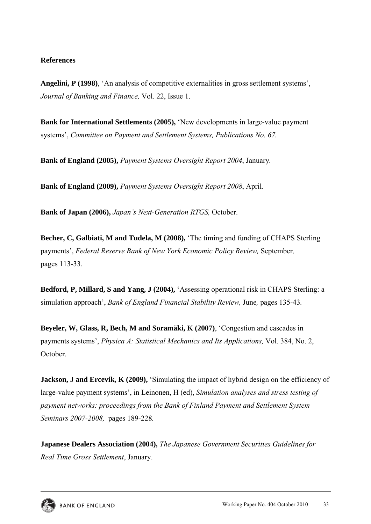## **References**

**Angelini, P (1998)**, 'An analysis of competitive externalities in gross settlement systems', *Journal of Banking and Finance,* Vol. 22, Issue 1.

**Bank for International Settlements (2005),** 'New developments in large-value payment systems', *Committee on Payment and Settlement Systems, Publications No. 67.* 

**Bank of England (2005),** *Payment Systems Oversight Report 2004*, January*.* 

**Bank of England (2009),** *Payment Systems Oversight Report 2008*, April*.* 

**Bank of Japan (2006),** *Japan's Next-Generation RTGS,* October.

**Becher, C, Galbiati, M and Tudela, M (2008),** 'The timing and funding of CHAPS Sterling payments', *Federal Reserve Bank of New York Economic Policy Review,* September*,* pages 113-33*.* 

**Bedford, P, Millard, S and Yang, J (2004),** 'Assessing operational risk in CHAPS Sterling: a simulation approach', *Bank of England Financial Stability Review,* June*,* pages 135-43*.*

**Beyeler, W, Glass, R, Bech, M and Soramäki, K (2007)**, 'Congestion and cascades in payments systems', *Physica A: Statistical Mechanics and Its Applications,* Vol. 384, No. 2, October.

**Jackson, J and Ercevik, K (2009), 'Simulating the impact of hybrid design on the efficiency of** large-value payment systems', in Leinonen, H (ed), *Simulation analyses and stress testing of payment networks: proceedings from the Bank of Finland Payment and Settlement System Seminars 2007-2008,* pages 189-228*.* 

**Japanese Dealers Association (2004),** *The Japanese Government Securities Guidelines for Real Time Gross Settlement*, January.